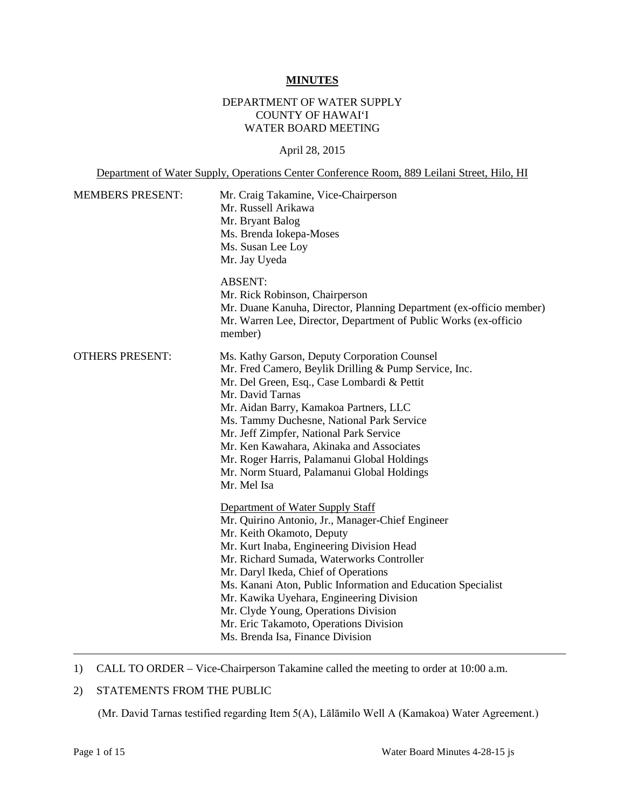#### **MINUTES**

#### DEPARTMENT OF WATER SUPPLY COUNTY OF HAWAI'I WATER BOARD MEETING

#### April 28, 2015

Department of Water Supply, Operations Center Conference Room, 889 Leilani Street, Hilo, HI

| <b>MEMBERS PRESENT:</b> | Mr. Craig Takamine, Vice-Chairperson<br>Mr. Russell Arikawa<br>Mr. Bryant Balog<br>Ms. Brenda Iokepa-Moses<br>Ms. Susan Lee Loy<br>Mr. Jay Uyeda                                                                                                                                                                                                                                                                                                                                      |
|-------------------------|---------------------------------------------------------------------------------------------------------------------------------------------------------------------------------------------------------------------------------------------------------------------------------------------------------------------------------------------------------------------------------------------------------------------------------------------------------------------------------------|
|                         | <b>ABSENT:</b><br>Mr. Rick Robinson, Chairperson<br>Mr. Duane Kanuha, Director, Planning Department (ex-officio member)<br>Mr. Warren Lee, Director, Department of Public Works (ex-officio<br>member)                                                                                                                                                                                                                                                                                |
| <b>OTHERS PRESENT:</b>  | Ms. Kathy Garson, Deputy Corporation Counsel<br>Mr. Fred Camero, Beylik Drilling & Pump Service, Inc.<br>Mr. Del Green, Esq., Case Lombardi & Pettit<br>Mr. David Tarnas<br>Mr. Aidan Barry, Kamakoa Partners, LLC<br>Ms. Tammy Duchesne, National Park Service<br>Mr. Jeff Zimpfer, National Park Service<br>Mr. Ken Kawahara, Akinaka and Associates<br>Mr. Roger Harris, Palamanui Global Holdings<br>Mr. Norm Stuard, Palamanui Global Holdings<br>Mr. Mel Isa                    |
|                         | Department of Water Supply Staff<br>Mr. Quirino Antonio, Jr., Manager-Chief Engineer<br>Mr. Keith Okamoto, Deputy<br>Mr. Kurt Inaba, Engineering Division Head<br>Mr. Richard Sumada, Waterworks Controller<br>Mr. Daryl Ikeda, Chief of Operations<br>Ms. Kanani Aton, Public Information and Education Specialist<br>Mr. Kawika Uyehara, Engineering Division<br>Mr. Clyde Young, Operations Division<br>Mr. Eric Takamoto, Operations Division<br>Ms. Brenda Isa, Finance Division |

#### 1) CALL TO ORDER – Vice-Chairperson Takamine called the meeting to order at 10:00 a.m.

#### 2) STATEMENTS FROM THE PUBLIC

(Mr. David Tarnas testified regarding Item 5(A), Lālāmilo Well A (Kamakoa) Water Agreement.)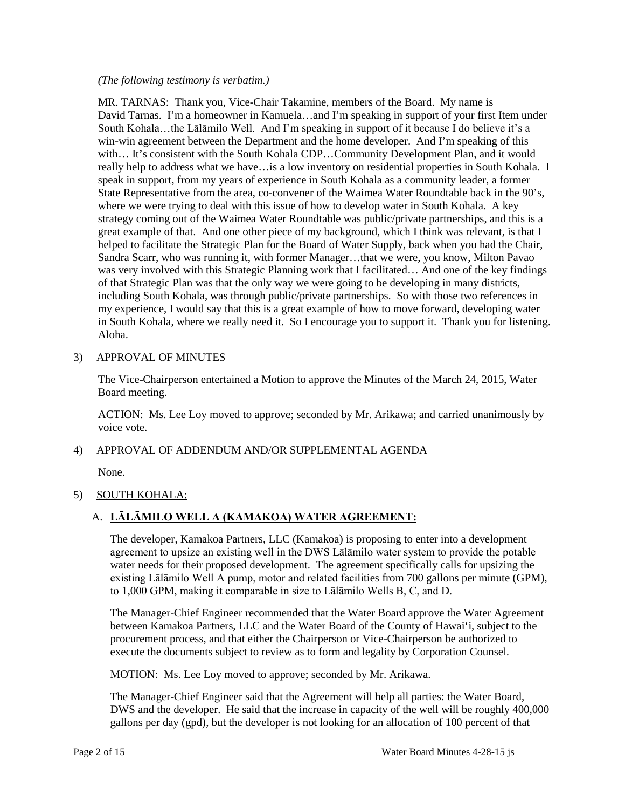#### *(The following testimony is verbatim.)*

 MR. TARNAS: Thank you, Vice-Chair Takamine, members of the Board. My name is South Kohala…the Lālāmilo Well. And I'm speaking in support of it because I do believe it's a really help to address what we have…is a low inventory on residential properties in South Kohala. I speak in support, from my years of experience in South Kohala as a community leader, a former where we were trying to deal with this issue of how to develop water in South Kohala. A key great example of that. And one other piece of my background, which I think was relevant, is that I my experience, I would say that this is a great example of how to move forward, developing water David Tarnas. I'm a homeowner in Kamuela…and I'm speaking in support of your first Item under win-win agreement between the Department and the home developer. And I'm speaking of this with... It's consistent with the South Kohala CDP...Community Development Plan, and it would State Representative from the area, co-convener of the Waimea Water Roundtable back in the 90's, strategy coming out of the Waimea Water Roundtable was public/private partnerships, and this is a helped to facilitate the Strategic Plan for the Board of Water Supply, back when you had the Chair, Sandra Scarr, who was running it, with former Manager…that we were, you know, Milton Pavao was very involved with this Strategic Planning work that I facilitated… And one of the key findings of that Strategic Plan was that the only way we were going to be developing in many districts, including South Kohala, was through public/private partnerships. So with those two references in in South Kohala, where we really need it. So I encourage you to support it. Thank you for listening. Aloha.

3) APPROVAL OF MINUTES

 The Vice-Chairperson entertained a Motion to approve the Minutes of the March 24, 2015, Water Board meeting.

ACTION: Ms. Lee Loy moved to approve; seconded by Mr. Arikawa; and carried unanimously by voice vote.

4) APPROVAL OF ADDENDUM AND/OR SUPPLEMENTAL AGENDA

None.

# 5) SOUTH KOHALA:

# A. **LĀLĀMILO WELL A (KAMAKOA) WATER AGREEMENT:**

 water needs for their proposed development. The agreement specifically calls for upsizing the The developer, Kamakoa Partners, LLC (Kamakoa) is proposing to enter into a development agreement to upsize an existing well in the DWS Lālāmilo water system to provide the potable existing Lālāmilo Well A pump, motor and related facilities from 700 gallons per minute (GPM), to 1,000 GPM, making it comparable in size to Lālāmilo Wells B, C, and D.

The Manager-Chief Engineer recommended that the Water Board approve the Water Agreement between Kamakoa Partners, LLC and the Water Board of the County of Hawai'i, subject to the procurement process, and that either the Chairperson or Vice-Chairperson be authorized to execute the documents subject to review as to form and legality by Corporation Counsel.

MOTION: Ms. Lee Loy moved to approve; seconded by Mr. Arikawa.

 DWS and the developer. He said that the increase in capacity of the well will be roughly 400,000 gallons per day (gpd), but the developer is not looking for an allocation of 100 percent of that The Manager-Chief Engineer said that the Agreement will help all parties: the Water Board,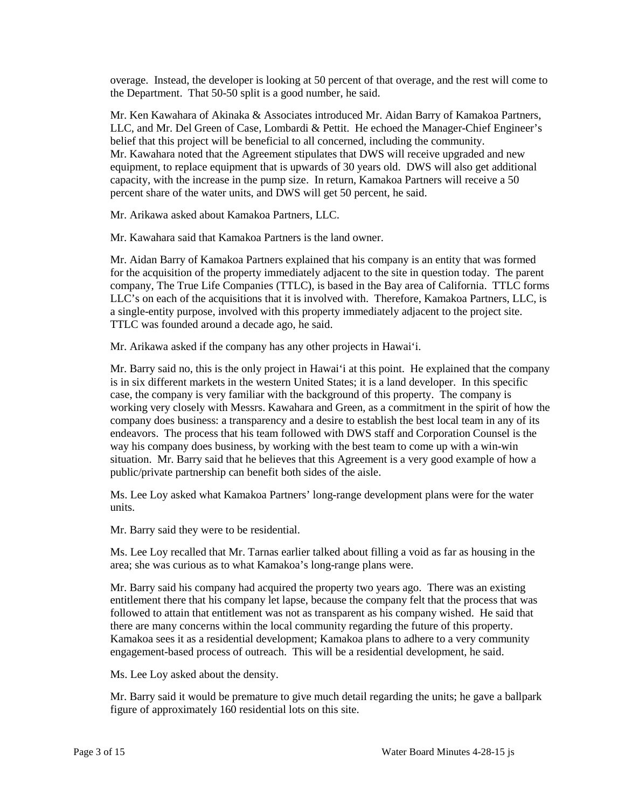overage. Instead, the developer is looking at 50 percent of that overage, and the rest will come to the Department. That 50-50 split is a good number, he said.

 Mr. Ken Kawahara of Akinaka & Associates introduced Mr. Aidan Barry of Kamakoa Partners, LLC, and Mr. Del Green of Case, Lombardi & Pettit. He echoed the Manager-Chief Engineer's belief that this project will be beneficial to all concerned, including the community. Mr. Kawahara noted that the Agreement stipulates that DWS will receive upgraded and new equipment, to replace equipment that is upwards of 30 years old. DWS will also get additional capacity, with the increase in the pump size. In return, Kamakoa Partners will receive a 50 percent share of the water units, and DWS will get 50 percent, he said.

Mr. Arikawa asked about Kamakoa Partners, LLC.

Mr. Kawahara said that Kamakoa Partners is the land owner.

 for the acquisition of the property immediately adjacent to the site in question today. The parent company, The True Life Companies (TTLC), is based in the Bay area of California. TTLC forms a single-entity purpose, involved with this property immediately adjacent to the project site. TTLC was founded around a decade ago, he said. TTLC was founded around a decade ago, he said. Mr. Aidan Barry of Kamakoa Partners explained that his company is an entity that was formed LLC's on each of the acquisitions that it is involved with. Therefore, Kamakoa Partners, LLC, is

Mr. Arikawa asked if the company has any other projects in Hawai'i.

 working very closely with Messrs. Kawahara and Green, as a commitment in the spirit of how the company does business: a transparency and a desire to establish the best local team in any of its way his company does business, by working with the best team to come up with a win-win situation. Mr. Barry said that he believes that this Agreement is a very good example of how a Mr. Barry said no, this is the only project in Hawai'i at this point. He explained that the company is in six different markets in the western United States; it is a land developer. In this specific case, the company is very familiar with the background of this property. The company is endeavors. The process that his team followed with DWS staff and Corporation Counsel is the public/private partnership can benefit both sides of the aisle.

Ms. Lee Loy asked what Kamakoa Partners' long-range development plans were for the water units.

Mr. Barry said they were to be residential.

 Ms. Lee Loy recalled that Mr. Tarnas earlier talked about filling a void as far as housing in the area; she was curious as to what Kamakoa's long-range plans were.

 entitlement there that his company let lapse, because the company felt that the process that was followed to attain that entitlement was not as transparent as his company wished. He said that there are many concerns within the local community regarding the future of this property. engagement-based process of outreach. This will be a residential development, he said. Mr. Barry said his company had acquired the property two years ago. There was an existing Kamakoa sees it as a residential development; Kamakoa plans to adhere to a very community

Ms. Lee Loy asked about the density.

Mr. Barry said it would be premature to give much detail regarding the units; he gave a ballpark figure of approximately 160 residential lots on this site.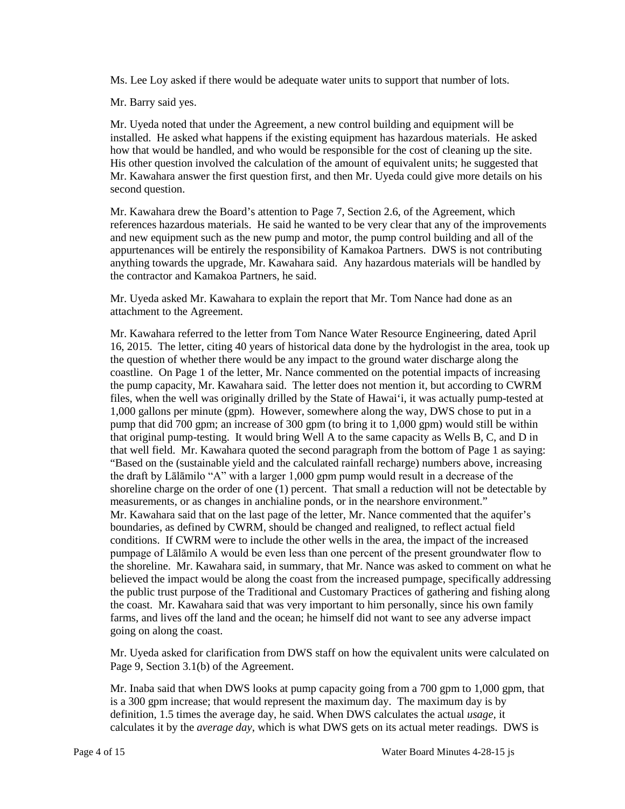Ms. Lee Loy asked if there would be adequate water units to support that number of lots.

Mr. Barry said yes.

 Mr. Uyeda noted that under the Agreement, a new control building and equipment will be His other question involved the calculation of the amount of equivalent units; he suggested that installed. He asked what happens if the existing equipment has hazardous materials. He asked how that would be handled, and who would be responsible for the cost of cleaning up the site. Mr. Kawahara answer the first question first, and then Mr. Uyeda could give more details on his second question.

 references hazardous materials. He said he wanted to be very clear that any of the improvements Mr. Kawahara drew the Board's attention to Page 7, Section 2.6, of the Agreement, which and new equipment such as the new pump and motor, the pump control building and all of the appurtenances will be entirely the responsibility of Kamakoa Partners. DWS is not contributing anything towards the upgrade, Mr. Kawahara said. Any hazardous materials will be handled by the contractor and Kamakoa Partners, he said.

Mr. Uyeda asked Mr. Kawahara to explain the report that Mr. Tom Nance had done as an attachment to the Agreement.

 that original pump-testing. It would bring Well A to the same capacity as Wells B, C, and D in the draft by Lālāmilo "A" with a larger 1,000 gpm pump would result in a decrease of the shoreline charge on the order of one (1) percent. That small a reduction will not be detectable by measurements, or as changes in anchialine ponds, or in the nearshore environment." Mr. Kawahara said that on the last page of the letter, Mr. Nance commented that the aquifer's boundaries, as defined by CWRM, should be changed and realigned, to reflect actual field pumpage of Lālāmilo A would be even less than one percent of the present groundwater flow to the public trust purpose of the Traditional and Customary Practices of gathering and fishing along the coast. Mr. Kawahara said that was very important to him personally, since his own family farms, and lives off the land and the ocean; he himself did not want to see any adverse impact Mr. Kawahara referred to the letter from Tom Nance Water Resource Engineering, dated April 16, 2015. The letter, citing 40 years of historical data done by the hydrologist in the area, took up the question of whether there would be any impact to the ground water discharge along the coastline. On Page 1 of the letter, Mr. Nance commented on the potential impacts of increasing the pump capacity, Mr. Kawahara said. The letter does not mention it, but according to CWRM files, when the well was originally drilled by the State of Hawai'i, it was actually pump-tested at 1,000 gallons per minute (gpm). However, somewhere along the way, DWS chose to put in a pump that did 700 gpm; an increase of 300 gpm (to bring it to 1,000 gpm) would still be within that well field. Mr. Kawahara quoted the second paragraph from the bottom of Page 1 as saying: "Based on the (sustainable yield and the calculated rainfall recharge) numbers above, increasing conditions. If CWRM were to include the other wells in the area, the impact of the increased the shoreline. Mr. Kawahara said, in summary, that Mr. Nance was asked to comment on what he believed the impact would be along the coast from the increased pumpage, specifically addressing going on along the coast.

 Mr. Uyeda asked for clarification from DWS staff on how the equivalent units were calculated on Page 9, Section 3.1(b) of the Agreement.

 is a 300 gpm increase; that would represent the maximum day. The maximum day is by definition, 1.5 times the average day, he said. When DWS calculates the actual *usage,* it Mr. Inaba said that when DWS looks at pump capacity going from a 700 gpm to 1,000 gpm, that calculates it by the *average day*, which is what DWS gets on its actual meter readings. DWS is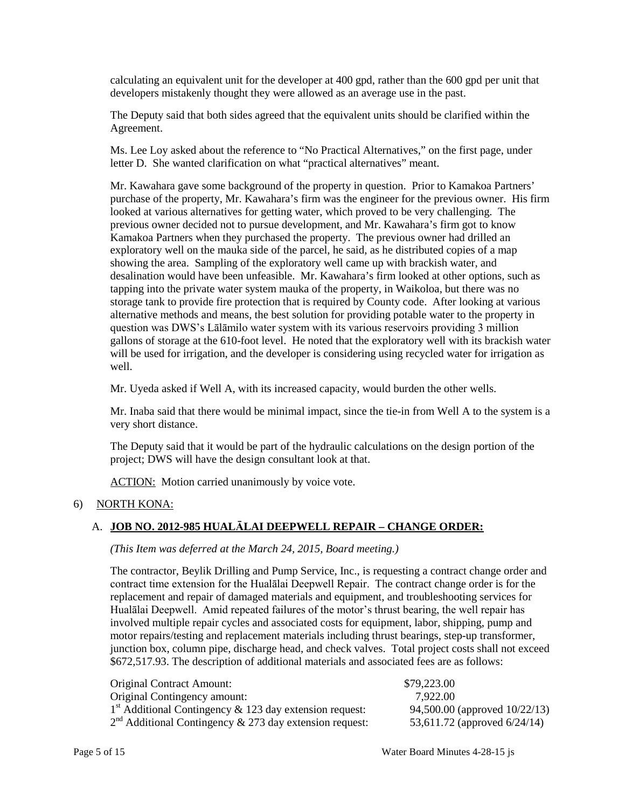calculating an equivalent unit for the developer at 400 gpd, rather than the 600 gpd per unit that developers mistakenly thought they were allowed as an average use in the past.

The Deputy said that both sides agreed that the equivalent units should be clarified within the Agreement.

 Ms. Lee Loy asked about the reference to "No Practical Alternatives," on the first page, under letter D. She wanted clarification on what "practical alternatives" meant.

 previous owner decided not to pursue development, and Mr. Kawahara's firm got to know tapping into the private water system mauka of the property, in Waikoloa, but there was no storage tank to provide fire protection that is required by County code. After looking at various question was DWS's Lālāmilo water system with its various reservoirs providing 3 million Mr. Kawahara gave some background of the property in question. Prior to Kamakoa Partners' purchase of the property, Mr. Kawahara's firm was the engineer for the previous owner. His firm looked at various alternatives for getting water, which proved to be very challenging. The Kamakoa Partners when they purchased the property. The previous owner had drilled an exploratory well on the mauka side of the parcel, he said, as he distributed copies of a map showing the area. Sampling of the exploratory well came up with brackish water, and desalination would have been unfeasible. Mr. Kawahara's firm looked at other options, such as alternative methods and means, the best solution for providing potable water to the property in gallons of storage at the 610-foot level. He noted that the exploratory well with its brackish water will be used for irrigation, and the developer is considering using recycled water for irrigation as well.

Mr. Uyeda asked if Well A, with its increased capacity, would burden the other wells.

Mr. Inaba said that there would be minimal impact, since the tie-in from Well A to the system is a very short distance.

 project; DWS will have the design consultant look at that. The Deputy said that it would be part of the hydraulic calculations on the design portion of the

ACTION: Motion carried unanimously by voice vote.

#### 6) NORTH KONA:

#### A. **JOB NO. 2012-985 HUALĀLAI DEEPWELL REPAIR – CHANGE ORDER:**

*(This Item was deferred at the March 24, 2015, Board meeting.)* 

 contract time extension for the Hualālai Deepwell Repair. The contract change order is for the Hualālai Deepwell. Amid repeated failures of the motor's thrust bearing, the well repair has junction box, column pipe, discharge head, and check valves. Total project costs shall not exceed The contractor, Beylik Drilling and Pump Service, Inc., is requesting a contract change order and replacement and repair of damaged materials and equipment, and troubleshooting services for involved multiple repair cycles and associated costs for equipment, labor, shipping, pump and motor repairs/testing and replacement materials including thrust bearings, step-up transformer, \$672,517.93. The description of additional materials and associated fees are as follows:

| <b>Original Contract Amount:</b>                          | \$79,223.00                     |
|-----------------------------------------------------------|---------------------------------|
| Original Contingency amount:                              | 7.922.00                        |
| $1st$ Additional Contingency & 123 day extension request: | 94,500.00 (approved 10/22/13)   |
| $2nd$ Additional Contingency & 273 day extension request: | 53,611.72 (approved $6/24/14$ ) |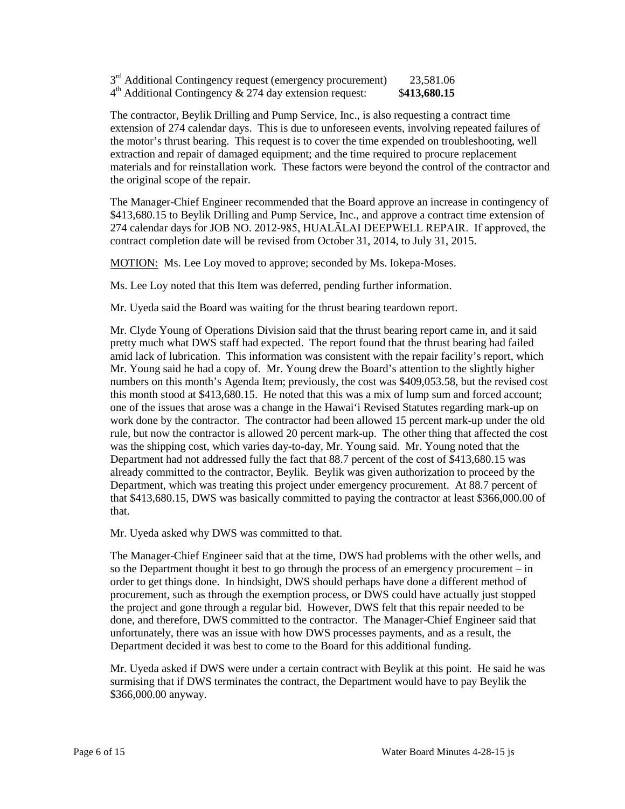$3<sup>rd</sup>$  Additional Contingency request (emergency procurement) 23,581.06 4th Additional Contingency & 274 day extension request: \$**413,680.15** 

 the motor's thrust bearing. This request is to cover the time expended on troubleshooting, well extraction and repair of damaged equipment; and the time required to procure replacement the original scope of the repair. The contractor, Beylik Drilling and Pump Service, Inc., is also requesting a contract time extension of 274 calendar days. This is due to unforeseen events, involving repeated failures of materials and for reinstallation work. These factors were beyond the control of the contractor and

 The Manager-Chief Engineer recommended that the Board approve an increase in contingency of 274 calendar days for JOB NO. 2012-985, HUALĀLAI DEEPWELL REPAIR. If approved, the \$413,680.15 to Beylik Drilling and Pump Service, Inc., and approve a contract time extension of contract completion date will be revised from October 31, 2014, to July 31, 2015.

MOTION: Ms. Lee Loy moved to approve; seconded by Ms. Iokepa-Moses.

Ms. Lee Loy noted that this Item was deferred, pending further information.

Mr. Uyeda said the Board was waiting for the thrust bearing teardown report.

 pretty much what DWS staff had expected. The report found that the thrust bearing had failed rule, but now the contractor is allowed 20 percent mark-up. The other thing that affected the cost Department had not addressed fully the fact that 88.7 percent of the cost of \$413,680.15 was already committed to the contractor, Beylik. Beylik was given authorization to proceed by the Department, which was treating this project under emergency procurement. At 88.7 percent of Mr. Clyde Young of Operations Division said that the thrust bearing report came in, and it said amid lack of lubrication. This information was consistent with the repair facility's report, which Mr. Young said he had a copy of. Mr. Young drew the Board's attention to the slightly higher numbers on this month's Agenda Item; previously, the cost was \$409,053.58, but the revised cost this month stood at \$413,680.15. He noted that this was a mix of lump sum and forced account; one of the issues that arose was a change in the Hawai'i Revised Statutes regarding mark-up on work done by the contractor. The contractor had been allowed 15 percent mark-up under the old was the shipping cost, which varies day-to-day, Mr. Young said. Mr. Young noted that the that \$413,680.15, DWS was basically committed to paying the contractor at least \$366,000.00 of that.

Mr. Uyeda asked why DWS was committed to that.

 so the Department thought it best to go through the process of an emergency procurement – in order to get things done. In hindsight, DWS should perhaps have done a different method of Department decided it was best to come to the Board for this additional funding. The Manager-Chief Engineer said that at the time, DWS had problems with the other wells, and procurement, such as through the exemption process, or DWS could have actually just stopped the project and gone through a regular bid. However, DWS felt that this repair needed to be done, and therefore, DWS committed to the contractor. The Manager-Chief Engineer said that unfortunately, there was an issue with how DWS processes payments, and as a result, the

 surmising that if DWS terminates the contract, the Department would have to pay Beylik the Mr. Uyeda asked if DWS were under a certain contract with Beylik at this point. He said he was \$366,000.00 anyway.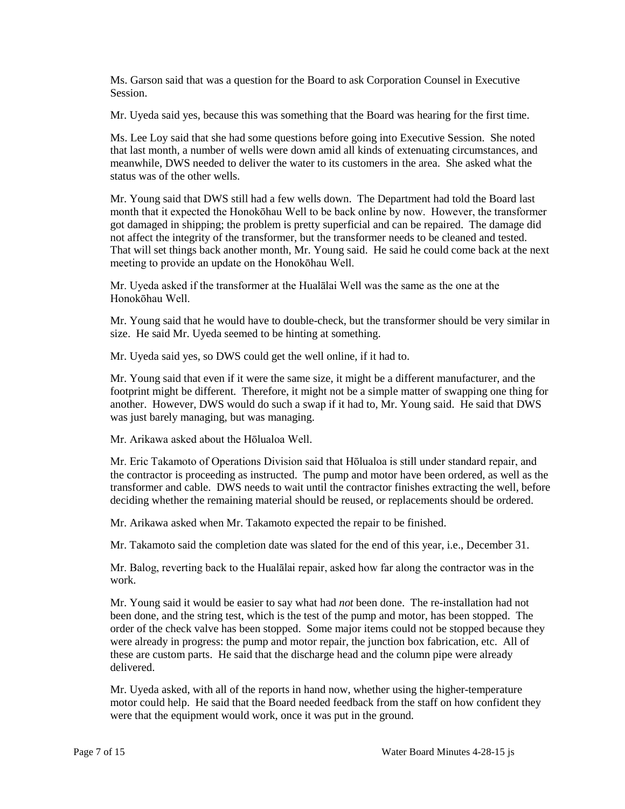Ms. Garson said that was a question for the Board to ask Corporation Counsel in Executive Session.

Mr. Uyeda said yes, because this was something that the Board was hearing for the first time.

 meanwhile, DWS needed to deliver the water to its customers in the area. She asked what the Ms. Lee Loy said that she had some questions before going into Executive Session. She noted that last month, a number of wells were down amid all kinds of extenuating circumstances, and status was of the other wells.

 month that it expected the Honokōhau Well to be back online by now. However, the transformer Mr. Young said that DWS still had a few wells down. The Department had told the Board last got damaged in shipping; the problem is pretty superficial and can be repaired. The damage did not affect the integrity of the transformer, but the transformer needs to be cleaned and tested. That will set things back another month, Mr. Young said. He said he could come back at the next meeting to provide an update on the Honokōhau Well.

 Mr. Uyeda asked if the transformer at the Hualālai Well was the same as the one at the Honokōhau Well.

Mr. Young said that he would have to double-check, but the transformer should be very similar in size. He said Mr. Uyeda seemed to be hinting at something.

Mr. Uyeda said yes, so DWS could get the well online, if it had to.

Mr. Young said that even if it were the same size, it might be a different manufacturer, and the footprint might be different. Therefore, it might not be a simple matter of swapping one thing for another. However, DWS would do such a swap if it had to, Mr. Young said. He said that DWS was just barely managing, but was managing.

Mr. Arikawa asked about the Hōlualoa Well.

 Mr. Eric Takamoto of Operations Division said that Hōlualoa is still under standard repair, and the contractor is proceeding as instructed. The pump and motor have been ordered, as well as the transformer and cable. DWS needs to wait until the contractor finishes extracting the well, before deciding whether the remaining material should be reused, or replacements should be ordered.

Mr. Arikawa asked when Mr. Takamoto expected the repair to be finished.

Mr. Takamoto said the completion date was slated for the end of this year, i.e., December 31.

 Mr. Balog, reverting back to the Hualālai repair, asked how far along the contractor was in the work.

 been done, and the string test, which is the test of the pump and motor, has been stopped. The order of the check valve has been stopped. Some major items could not be stopped because they were already in progress: the pump and motor repair, the junction box fabrication, etc. All of these are custom parts. He said that the discharge head and the column pipe were already Mr. Young said it would be easier to say what had *not* been done. The re-installation had not delivered.

 were that the equipment would work, once it was put in the ground. Mr. Uyeda asked, with all of the reports in hand now, whether using the higher-temperature motor could help. He said that the Board needed feedback from the staff on how confident they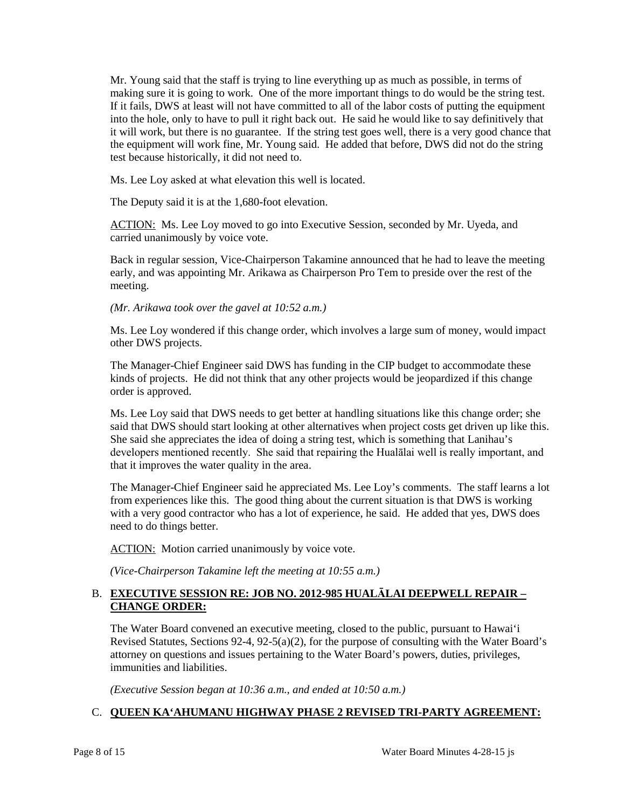it will work, but there is no guarantee. If the string test goes well, there is a very good chance that Mr. Young said that the staff is trying to line everything up as much as possible, in terms of making sure it is going to work. One of the more important things to do would be the string test. If it fails, DWS at least will not have committed to all of the labor costs of putting the equipment into the hole, only to have to pull it right back out. He said he would like to say definitively that the equipment will work fine, Mr. Young said. He added that before, DWS did not do the string test because historically, it did not need to.

Ms. Lee Loy asked at what elevation this well is located.

The Deputy said it is at the 1,680-foot elevation.

ACTION: Ms. Lee Loy moved to go into Executive Session, seconded by Mr. Uyeda, and carried unanimously by voice vote.

 early, and was appointing Mr. Arikawa as Chairperson Pro Tem to preside over the rest of the Back in regular session, Vice-Chairperson Takamine announced that he had to leave the meeting meeting.

 *(Mr. Arikawa took over the gavel at 10:52 a.m.)* 

Ms. Lee Loy wondered if this change order, which involves a large sum of money, would impact other DWS projects.

 kinds of projects. He did not think that any other projects would be jeopardized if this change The Manager-Chief Engineer said DWS has funding in the CIP budget to accommodate these order is approved.

 said that DWS should start looking at other alternatives when project costs get driven up like this. She said she appreciates the idea of doing a string test, which is something that Lanihau's developers mentioned recently. She said that repairing the Hualālai well is really important, and Ms. Lee Loy said that DWS needs to get better at handling situations like this change order; she that it improves the water quality in the area.

 The Manager-Chief Engineer said he appreciated Ms. Lee Loy's comments. The staff learns a lot from experiences like this. The good thing about the current situation is that DWS is working with a very good contractor who has a lot of experience, he said. He added that yes, DWS does need to do things better.

ACTION: Motion carried unanimously by voice vote.

*(Vice-Chairperson Takamine left the meeting at 10:55 a.m.)* 

# B. **EXECUTIVE SESSION RE: JOB NO. 2012-985 HUALĀLAI DEEPWELL REPAIR – CHANGE ORDER:**

 The Water Board convened an executive meeting, closed to the public, pursuant to Hawai'i Revised Statutes, Sections 92-4, 92-5(a)(2), for the purpose of consulting with the Water Board's attorney on questions and issues pertaining to the Water Board's powers, duties, privileges, immunities and liabilities.

 *(Executive Session began at 10:36 a.m., and ended at 10:50 a.m.)* 

# C. **QUEEN KA'AHUMANU HIGHWAY PHASE 2 REVISED TRI-PARTY AGREEMENT:**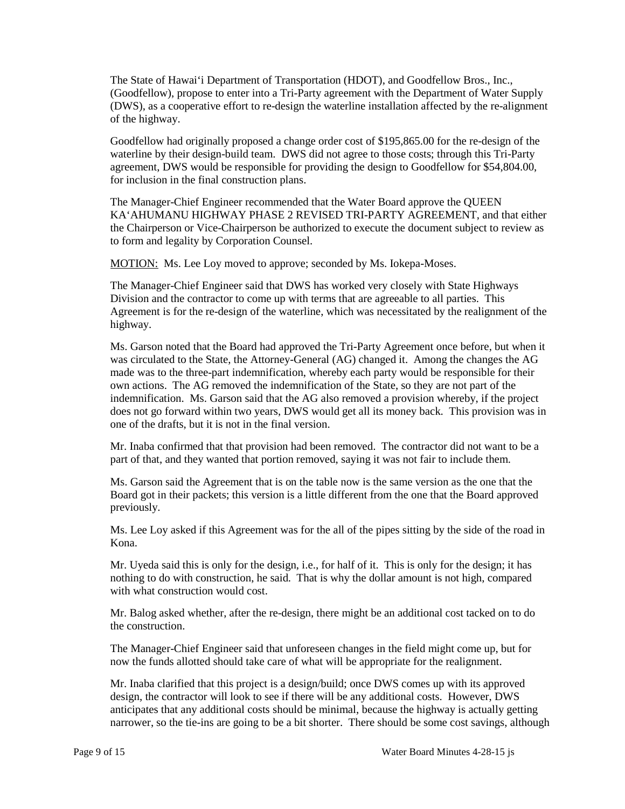The State of Hawai'i Department of Transportation (HDOT), and Goodfellow Bros., Inc., (Goodfellow), propose to enter into a Tri-Party agreement with the Department of Water Supply (DWS), as a cooperative effort to re-design the waterline installation affected by the re-alignment of the highway.

 Goodfellow had originally proposed a change order cost of \$195,865.00 for the re-design of the waterline by their design-build team. DWS did not agree to those costs; through this Tri-Party agreement, DWS would be responsible for providing the design to Goodfellow for \$54,804.00, for inclusion in the final construction plans.

 The Manager-Chief Engineer recommended that the Water Board approve the QUEEN KA'AHUMANU HIGHWAY PHASE 2 REVISED TRI-PARTY AGREEMENT, and that either the Chairperson or Vice-Chairperson be authorized to execute the document subject to review as to form and legality by Corporation Counsel.

MOTION: Ms. Lee Loy moved to approve; seconded by Ms. Iokepa-Moses.

 Division and the contractor to come up with terms that are agreeable to all parties. This The Manager-Chief Engineer said that DWS has worked very closely with State Highways Agreement is for the re-design of the waterline, which was necessitated by the realignment of the highway.

 Ms. Garson noted that the Board had approved the Tri-Party Agreement once before, but when it made was to the three-part indemnification, whereby each party would be responsible for their own actions. The AG removed the indemnification of the State, so they are not part of the indemnification. Ms. Garson said that the AG also removed a provision whereby, if the project does not go forward within two years, DWS would get all its money back. This provision was in was circulated to the State, the Attorney-General (AG) changed it. Among the changes the AG one of the drafts, but it is not in the final version.

 Mr. Inaba confirmed that that provision had been removed. The contractor did not want to be a part of that, and they wanted that portion removed, saying it was not fair to include them.

 Board got in their packets; this version is a little different from the one that the Board approved Ms. Garson said the Agreement that is on the table now is the same version as the one that the previously.

 Ms. Lee Loy asked if this Agreement was for the all of the pipes sitting by the side of the road in Kona.

 Mr. Uyeda said this is only for the design, i.e., for half of it. This is only for the design; it has nothing to do with construction, he said. That is why the dollar amount is not high, compared with what construction would cost.

Mr. Balog asked whether, after the re-design, there might be an additional cost tacked on to do the construction.

 The Manager-Chief Engineer said that unforeseen changes in the field might come up, but for now the funds allotted should take care of what will be appropriate for the realignment.

 design, the contractor will look to see if there will be any additional costs. However, DWS narrower, so the tie-ins are going to be a bit shorter. There should be some cost savings, although Mr. Inaba clarified that this project is a design/build; once DWS comes up with its approved anticipates that any additional costs should be minimal, because the highway is actually getting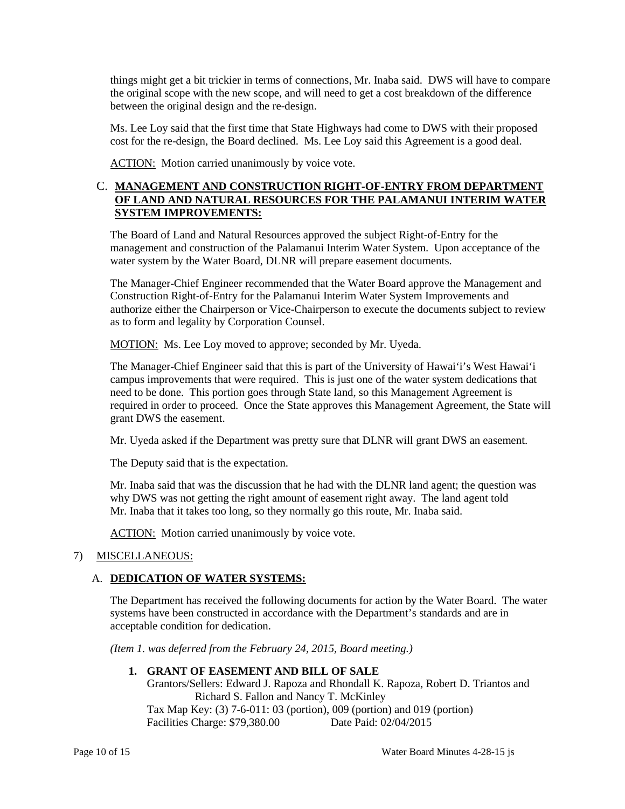things might get a bit trickier in terms of connections, Mr. Inaba said. DWS will have to compare the original scope with the new scope, and will need to get a cost breakdown of the difference between the original design and the re-design.

 Ms. Lee Loy said that the first time that State Highways had come to DWS with their proposed cost for the re-design, the Board declined. Ms. Lee Loy said this Agreement is a good deal.

ACTION: Motion carried unanimously by voice vote.

#### C. **MANAGEMENT AND CONSTRUCTION RIGHT-OF-ENTRY FROM DEPARTMENT OF LAND AND NATURAL RESOURCES FOR THE PALAMANUI INTERIM WATER SYSTEM IMPROVEMENTS:**

The Board of Land and Natural Resources approved the subject Right-of-Entry for the management and construction of the Palamanui Interim Water System. Upon acceptance of the water system by the Water Board, DLNR will prepare easement documents.

The Manager-Chief Engineer recommended that the Water Board approve the Management and Construction Right-of-Entry for the Palamanui Interim Water System Improvements and authorize either the Chairperson or Vice-Chairperson to execute the documents subject to review as to form and legality by Corporation Counsel.

MOTION: Ms. Lee Loy moved to approve; seconded by Mr. Uyeda.

 The Manager-Chief Engineer said that this is part of the University of Hawai'i's West Hawai'i campus improvements that were required. This is just one of the water system dedications that need to be done. This portion goes through State land, so this Management Agreement is required in order to proceed. Once the State approves this Management Agreement, the State will grant DWS the easement.

Mr. Uyeda asked if the Department was pretty sure that DLNR will grant DWS an easement.

The Deputy said that is the expectation.

 Mr. Inaba said that was the discussion that he had with the DLNR land agent; the question was Mr. Inaba that it takes too long, so they normally go this route, Mr. Inaba said. why DWS was not getting the right amount of easement right away. The land agent told

ACTION: Motion carried unanimously by voice vote.

# 7) MISCELLANEOUS:

# A. **DEDICATION OF WATER SYSTEMS:**

The Department has received the following documents for action by the Water Board. The water systems have been constructed in accordance with the Department's standards and are in acceptable condition for dedication.

*(Item 1. was deferred from the February 24, 2015, Board meeting.)* 

#### **1. GRANT OF EASEMENT AND BILL OF SALE**

Grantors/Sellers: Edward J. Rapoza and Rhondall K. Rapoza, Robert D. Triantos and Richard S. Fallon and Nancy T. McKinley Tax Map Key: (3) 7-6-011: 03 (portion), 009 (portion) and 019 (portion) Facilities Charge: \$79,380.00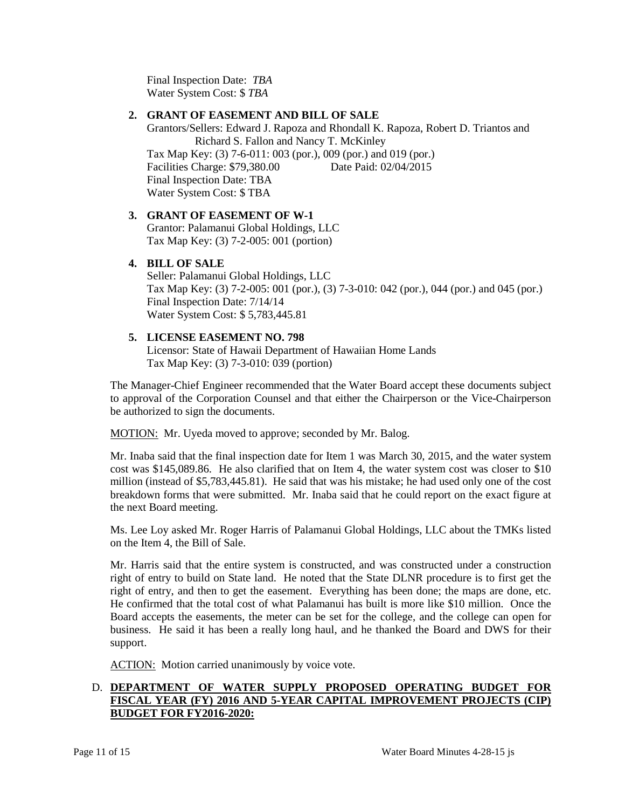Final Inspection Date: *TBA* Water System Cost: \$ *TBA*

#### **2. GRANT OF EASEMENT AND BILL OF SALE**

Grantors/Sellers: Edward J. Rapoza and Rhondall K. Rapoza, Robert D. Triantos and Richard S. Fallon and Nancy T. McKinley

 Final Inspection Date: TBA Tax Map Key: (3) 7-6-011: 003 (por.), 009 (por.) and 019 (por.) Facilities Charge: \$79,380.00 Date Paid: 02/04/2015 Water System Cost: \$ TBA

# **3. GRANT OF EASEMENT OF W-1**

Grantor: Palamanui Global Holdings, LLC Tax Map Key: (3) 7-2-005: 001 (portion)

#### **4. BILL OF SALE**

Seller: Palamanui Global Holdings, LLC Tax Map Key: (3) 7-2-005: 001 (por.), (3) 7-3-010: 042 (por.), 044 (por.) and 045 (por.) Final Inspection Date: 7/14/14 Water System Cost: \$ 5,783,445.81

# **5. LICENSE EASEMENT NO. 798**

Licensor: State of Hawaii Department of Hawaiian Home Lands Tax Map Key: (3) 7-3-010: 039 (portion)

 The Manager-Chief Engineer recommended that the Water Board accept these documents subject to approval of the Corporation Counsel and that either the Chairperson or the Vice-Chairperson be authorized to sign the documents.

MOTION: Mr. Uyeda moved to approve; seconded by Mr. Balog.

 Mr. Inaba said that the final inspection date for Item 1 was March 30, 2015, and the water system breakdown forms that were submitted. Mr. Inaba said that he could report on the exact figure at cost was \$145,089.86. He also clarified that on Item 4, the water system cost was closer to \$10 million (instead of \$5,783,445.81). He said that was his mistake; he had used only one of the cost the next Board meeting.

Ms. Lee Loy asked Mr. Roger Harris of Palamanui Global Holdings, LLC about the TMKs listed on the Item 4, the Bill of Sale.

 Mr. Harris said that the entire system is constructed, and was constructed under a construction right of entry to build on State land. He noted that the State DLNR procedure is to first get the right of entry, and then to get the easement. Everything has been done; the maps are done, etc. He confirmed that the total cost of what Palamanui has built is more like \$10 million. Once the Board accepts the easements, the meter can be set for the college, and the college can open for business. He said it has been a really long haul, and he thanked the Board and DWS for their support.

ACTION: Motion carried unanimously by voice vote.

# D. **DEPARTMENT OF WATER SUPPLY PROPOSED OPERATING BUDGET FOR FISCAL YEAR (FY) 2016 AND 5-YEAR CAPITAL IMPROVEMENT PROJECTS (CIP) BUDGET FOR FY2016-2020:**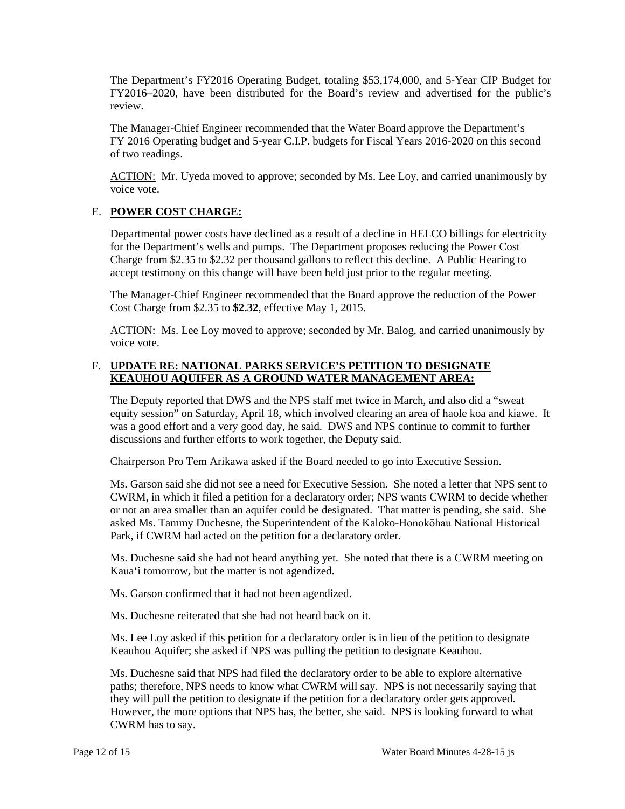FY2016–2020, have been distributed for the Board's review and advertised for the public's The Department's FY2016 Operating Budget, totaling \$53,174,000, and 5-Year CIP Budget for review.

 The Manager-Chief Engineer recommended that the Water Board approve the Department's FY 2016 Operating budget and 5-year C.I.P. budgets for Fiscal Years 2016-2020 on this second of two readings.

ACTION: Mr. Uyeda moved to approve; seconded by Ms. Lee Loy, and carried unanimously by voice vote.

# E. **POWER COST CHARGE:**

Departmental power costs have declined as a result of a decline in HELCO billings for electricity for the Department's wells and pumps. The Department proposes reducing the Power Cost Charge from \$2.35 to \$2.32 per thousand gallons to reflect this decline. A Public Hearing to accept testimony on this change will have been held just prior to the regular meeting.

 The Manager-Chief Engineer recommended that the Board approve the reduction of the Power Cost Charge from \$2.35 to **\$2.32**, effective May 1, 2015.

ACTION: Ms. Lee Loy moved to approve; seconded by Mr. Balog, and carried unanimously by voice vote.

#### F. **UPDATE RE: NATIONAL PARKS SERVICE'S PETITION TO DESIGNATE KEAUHOU AQUIFER AS A GROUND WATER MANAGEMENT AREA:**

 was a good effort and a very good day, he said. DWS and NPS continue to commit to further The Deputy reported that DWS and the NPS staff met twice in March, and also did a "sweat equity session" on Saturday, April 18, which involved clearing an area of haole koa and kiawe. It discussions and further efforts to work together, the Deputy said.

Chairperson Pro Tem Arikawa asked if the Board needed to go into Executive Session.

 Ms. Garson said she did not see a need for Executive Session. She noted a letter that NPS sent to CWRM, in which it filed a petition for a declaratory order; NPS wants CWRM to decide whether or not an area smaller than an aquifer could be designated. That matter is pending, she said. She asked Ms. Tammy Duchesne, the Superintendent of the Kaloko-Honokōhau National Historical Park, if CWRM had acted on the petition for a declaratory order.

 Ms. Duchesne said she had not heard anything yet. She noted that there is a CWRM meeting on Kaua'i tomorrow, but the matter is not agendized.

Ms. Garson confirmed that it had not been agendized.

Ms. Duchesne reiterated that she had not heard back on it.

Ms. Lee Loy asked if this petition for a declaratory order is in lieu of the petition to designate Keauhou Aquifer; she asked if NPS was pulling the petition to designate Keauhou.

 they will pull the petition to designate if the petition for a declaratory order gets approved. Ms. Duchesne said that NPS had filed the declaratory order to be able to explore alternative paths; therefore, NPS needs to know what CWRM will say. NPS is not necessarily saying that However, the more options that NPS has, the better, she said. NPS is looking forward to what CWRM has to say.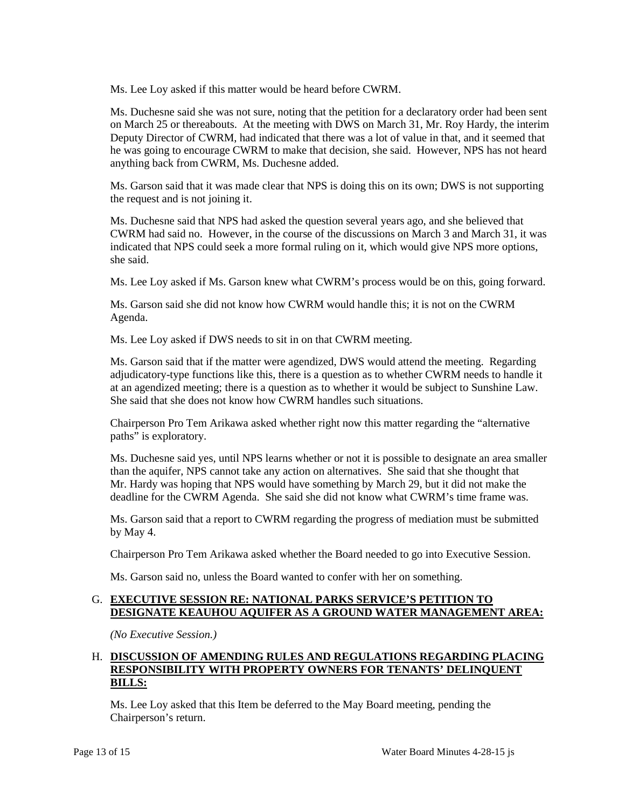Ms. Lee Loy asked if this matter would be heard before CWRM.

 Ms. Duchesne said she was not sure, noting that the petition for a declaratory order had been sent on March 25 or thereabouts. At the meeting with DWS on March 31, Mr. Roy Hardy, the interim Deputy Director of CWRM, had indicated that there was a lot of value in that, and it seemed that he was going to encourage CWRM to make that decision, she said. However, NPS has not heard anything back from CWRM, Ms. Duchesne added.

 Ms. Garson said that it was made clear that NPS is doing this on its own; DWS is not supporting the request and is not joining it.

Ms. Duchesne said that NPS had asked the question several years ago, and she believed that CWRM had said no. However, in the course of the discussions on March 3 and March 31, it was indicated that NPS could seek a more formal ruling on it, which would give NPS more options, she said.

Ms. Lee Loy asked if Ms. Garson knew what CWRM's process would be on this, going forward.

 Ms. Garson said she did not know how CWRM would handle this; it is not on the CWRM Agenda.

Ms. Lee Loy asked if DWS needs to sit in on that CWRM meeting.

 Ms. Garson said that if the matter were agendized, DWS would attend the meeting. Regarding adjudicatory-type functions like this, there is a question as to whether CWRM needs to handle it at an agendized meeting; there is a question as to whether it would be subject to Sunshine Law. She said that she does not know how CWRM handles such situations.

Chairperson Pro Tem Arikawa asked whether right now this matter regarding the "alternative paths" is exploratory.

Ms. Duchesne said yes, until NPS learns whether or not it is possible to designate an area smaller than the aquifer, NPS cannot take any action on alternatives. She said that she thought that Mr. Hardy was hoping that NPS would have something by March 29, but it did not make the deadline for the CWRM Agenda. She said she did not know what CWRM's time frame was.

 Ms. Garson said that a report to CWRM regarding the progress of mediation must be submitted by May 4.

Chairperson Pro Tem Arikawa asked whether the Board needed to go into Executive Session.

Ms. Garson said no, unless the Board wanted to confer with her on something.

# G. **EXECUTIVE SESSION RE: NATIONAL PARKS SERVICE'S PETITION TO DESIGNATE KEAUHOU AQUIFER AS A GROUND WATER MANAGEMENT AREA:**

*(No Executive Session.)* 

# H. DISCUSSION OF AMENDING RULES AND REGULATIONS REGARDING PLACING **RESPONSIBILITY WITH PROPERTY OWNERS FOR TENANTS' DELINQUENT BILLS:**

 Ms. Lee Loy asked that this Item be deferred to the May Board meeting, pending the Chairperson's return.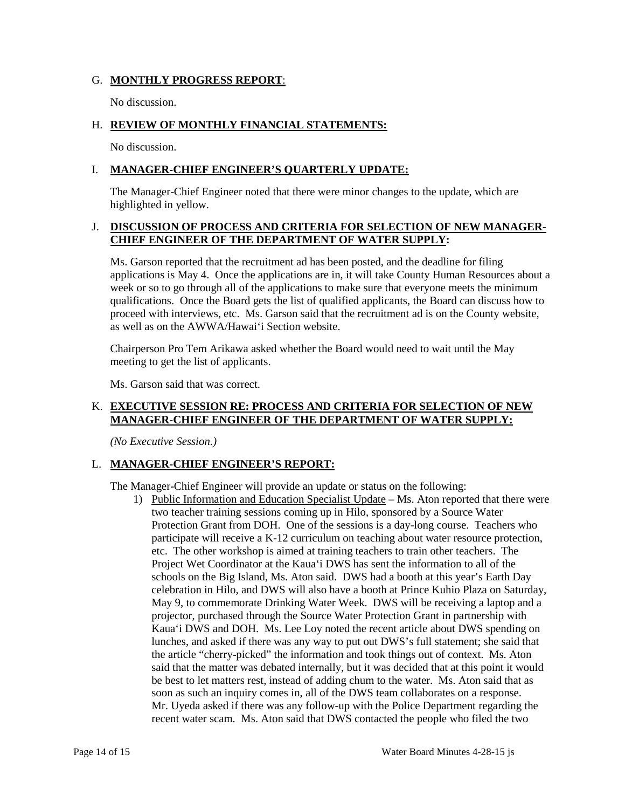#### G. **MONTHLY PROGRESS REPORT**:

No discussion.

#### H. **REVIEW OF MONTHLY FINANCIAL STATEMENTS:**

No discussion.

#### I. **MANAGER-CHIEF ENGINEER'S QUARTERLY UPDATE:**

The Manager-Chief Engineer noted that there were minor changes to the update, which are highlighted in yellow.

#### **J. DISCUSSION OF PROCESS AND CRITERIA FOR SELECTION OF NEW MANAGER-CHIEF ENGINEER OF THE DEPARTMENT OF WATER SUPPLY:**

 Ms. Garson reported that the recruitment ad has been posted, and the deadline for filing applications is May 4. Once the applications are in, it will take County Human Resources about a week or so to go through all of the applications to make sure that everyone meets the minimum proceed with interviews, etc. Ms. Garson said that the recruitment ad is on the County website, qualifications. Once the Board gets the list of qualified applicants, the Board can discuss how to as well as on the AWWA/Hawai'i Section website.

 Chairperson Pro Tem Arikawa asked whether the Board would need to wait until the May meeting to get the list of applicants.

Ms. Garson said that was correct.

# K. **EXECUTIVE SESSION RE: PROCESS AND CRITERIA FOR SELECTION OF NEW MANAGER-CHIEF ENGINEER OF THE DEPARTMENT OF WATER SUPPLY:**

*(No Executive Session.)* 

# L. **MANAGER-CHIEF ENGINEER'S REPORT:**

The Manager-Chief Engineer will provide an update or status on the following:

1) Public Information and Education Specialist Update – Ms. Aton reported that there were Protection Grant from DOH. One of the sessions is a day-long course. Teachers who etc. The other workshop is aimed at training teachers to train other teachers. The Project Wet Coordinator at the Kaua'i DWS has sent the information to all of the May 9, to commemorate Drinking Water Week. DWS will be receiving a laptop and a Kaua'i DWS and DOH. Ms. Lee Loy noted the recent article about DWS spending on lunches, and asked if there was any way to put out DWS's full statement; she said that be best to let matters rest, instead of adding chum to the water. Ms. Aton said that as two teacher training sessions coming up in Hilo, sponsored by a Source Water participate will receive a K-12 curriculum on teaching about water resource protection, schools on the Big Island, Ms. Aton said. DWS had a booth at this year's Earth Day celebration in Hilo, and DWS will also have a booth at Prince Kuhio Plaza on Saturday, projector, purchased through the Source Water Protection Grant in partnership with the article "cherry-picked" the information and took things out of context. Ms. Aton said that the matter was debated internally, but it was decided that at this point it would soon as such an inquiry comes in, all of the DWS team collaborates on a response. Mr. Uyeda asked if there was any follow-up with the Police Department regarding the recent water scam. Ms. Aton said that DWS contacted the people who filed the two